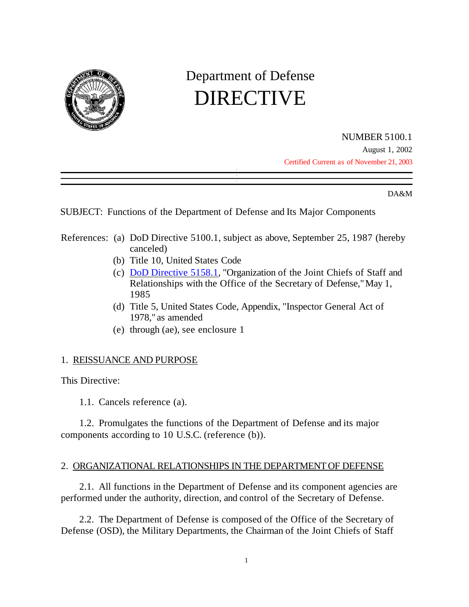

# Department of Defense DIRECTIVE

NUMBER 5100.1 August 1, 2002 Certified Current as of November 21, 2003

DA&M

SUBJECT: Functions of the Department of Defense and Its Major Components

- References: (a) DoD Directive 5100.1, subject as above, September 25, 1987 (hereby canceled)
	- (b) Title 10, United States Code
	- (c) DoD Directive 5158.1, "Organization of the Joint Chiefs of Staff and Relationships with the Office of the Secretary of Defense," May 1, 1985
	- (d) Title 5, United States Code, Appendix, "Inspector General Act of 1978," as amended
	- (e) through (ae), see enclosure 1

## 1. REISSUANCE AND PURPOSE

This Directive:

1.1. Cancels reference (a).

1.2. Promulgates the functions of the Department of Defense and its major components according to 10 U.S.C. (reference (b)).

## 2. ORGANIZATIONAL RELATIONSHIPS IN THE DEPARTMENT OF DEFENSE

2.1. All functions in the Department of Defense and its component agencies are performed under the authority, direction, and control of the Secretary of Defense.

2.2. The Department of Defense is composed of the Office of the Secretary of Defense (OSD), the Military Departments, the Chairman of the Joint Chiefs of Staff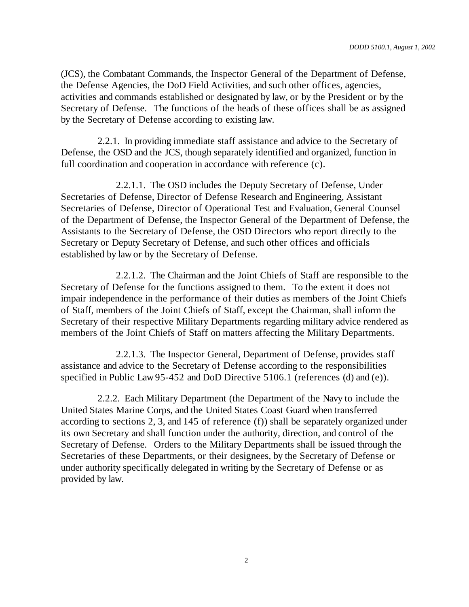(JCS), the Combatant Commands, the Inspector General of the Department of Defense, the Defense Agencies, the DoD Field Activities, and such other offices, agencies, activities and commands established or designated by law, or by the President or by the Secretary of Defense. The functions of the heads of these offices shall be as assigned by the Secretary of Defense according to existing law.

2.2.1. In providing immediate staff assistance and advice to the Secretary of Defense, the OSD and the JCS, though separately identified and organized, function in full coordination and cooperation in accordance with reference (c).

2.2.1.1. The OSD includes the Deputy Secretary of Defense, Under Secretaries of Defense, Director of Defense Research and Engineering, Assistant Secretaries of Defense, Director of Operational Test and Evaluation, General Counsel of the Department of Defense, the Inspector General of the Department of Defense, the Assistants to the Secretary of Defense, the OSD Directors who report directly to the Secretary or Deputy Secretary of Defense, and such other offices and officials established by law or by the Secretary of Defense.

2.2.1.2. The Chairman and the Joint Chiefs of Staff are responsible to the Secretary of Defense for the functions assigned to them. To the extent it does not impair independence in the performance of their duties as members of the Joint Chiefs of Staff, members of the Joint Chiefs of Staff, except the Chairman, shall inform the Secretary of their respective Military Departments regarding military advice rendered as members of the Joint Chiefs of Staff on matters affecting the Military Departments.

2.2.1.3. The Inspector General, Department of Defense, provides staff assistance and advice to the Secretary of Defense according to the responsibilities specified in Public Law 95-452 and DoD Directive 5106.1 (references (d) and (e)).

2.2.2. Each Military Department (the Department of the Navy to include the United States Marine Corps, and the United States Coast Guard when transferred according to sections 2, 3, and 145 of reference (f)) shall be separately organized under its own Secretary and shall function under the authority, direction, and control of the Secretary of Defense. Orders to the Military Departments shall be issued through the Secretaries of these Departments, or their designees, by the Secretary of Defense or under authority specifically delegated in writing by the Secretary of Defense or as provided by law.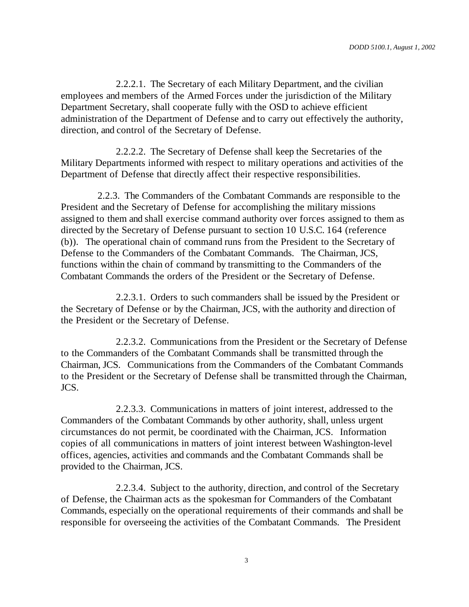2.2.2.1. The Secretary of each Military Department, and the civilian employees and members of the Armed Forces under the jurisdiction of the Military Department Secretary, shall cooperate fully with the OSD to achieve efficient administration of the Department of Defense and to carry out effectively the authority, direction, and control of the Secretary of Defense.

2.2.2.2. The Secretary of Defense shall keep the Secretaries of the Military Departments informed with respect to military operations and activities of the Department of Defense that directly affect their respective responsibilities.

2.2.3. The Commanders of the Combatant Commands are responsible to the President and the Secretary of Defense for accomplishing the military missions assigned to them and shall exercise command authority over forces assigned to them as directed by the Secretary of Defense pursuant to section 10 U.S.C. 164 (reference (b)). The operational chain of command runs from the President to the Secretary of Defense to the Commanders of the Combatant Commands. The Chairman, JCS, functions within the chain of command by transmitting to the Commanders of the Combatant Commands the orders of the President or the Secretary of Defense.

2.2.3.1. Orders to such commanders shall be issued by the President or the Secretary of Defense or by the Chairman, JCS, with the authority and direction of the President or the Secretary of Defense.

2.2.3.2. Communications from the President or the Secretary of Defense to the Commanders of the Combatant Commands shall be transmitted through the Chairman, JCS. Communications from the Commanders of the Combatant Commands to the President or the Secretary of Defense shall be transmitted through the Chairman, JCS.

2.2.3.3. Communications in matters of joint interest, addressed to the Commanders of the Combatant Commands by other authority, shall, unless urgent circumstances do not permit, be coordinated with the Chairman, JCS. Information copies of all communications in matters of joint interest between Washington-level offices, agencies, activities and commands and the Combatant Commands shall be provided to the Chairman, JCS.

2.2.3.4. Subject to the authority, direction, and control of the Secretary of Defense, the Chairman acts as the spokesman for Commanders of the Combatant Commands, especially on the operational requirements of their commands and shall be responsible for overseeing the activities of the Combatant Commands. The President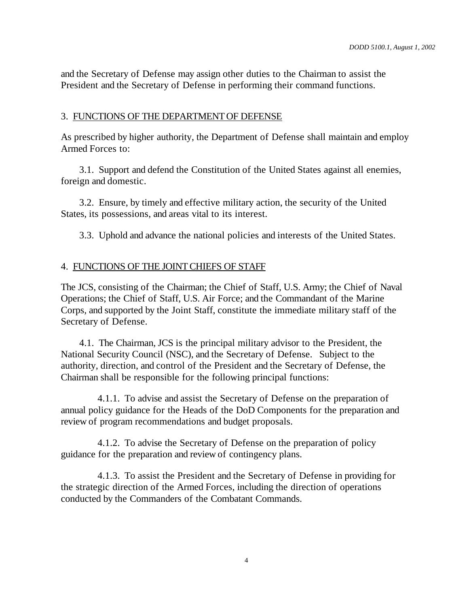and the Secretary of Defense may assign other duties to the Chairman to assist the President and the Secretary of Defense in performing their command functions.

## 3. FUNCTIONS OF THE DEPARTMENT OF DEFENSE

As prescribed by higher authority, the Department of Defense shall maintain and employ Armed Forces to:

3.1. Support and defend the Constitution of the United States against all enemies, foreign and domestic.

3.2. Ensure, by timely and effective military action, the security of the United States, its possessions, and areas vital to its interest.

3.3. Uphold and advance the national policies and interests of the United States.

# 4. FUNCTIONS OF THE JOINT CHIEFS OF STAFF

The JCS, consisting of the Chairman; the Chief of Staff, U.S. Army; the Chief of Naval Operations; the Chief of Staff, U.S. Air Force; and the Commandant of the Marine Corps, and supported by the Joint Staff, constitute the immediate military staff of the Secretary of Defense.

4.1. The Chairman, JCS is the principal military advisor to the President, the National Security Council (NSC), and the Secretary of Defense. Subject to the authority, direction, and control of the President and the Secretary of Defense, the Chairman shall be responsible for the following principal functions:

4.1.1. To advise and assist the Secretary of Defense on the preparation of annual policy guidance for the Heads of the DoD Components for the preparation and review of program recommendations and budget proposals.

4.1.2. To advise the Secretary of Defense on the preparation of policy guidance for the preparation and review of contingency plans.

4.1.3. To assist the President and the Secretary of Defense in providing for the strategic direction of the Armed Forces, including the direction of operations conducted by the Commanders of the Combatant Commands.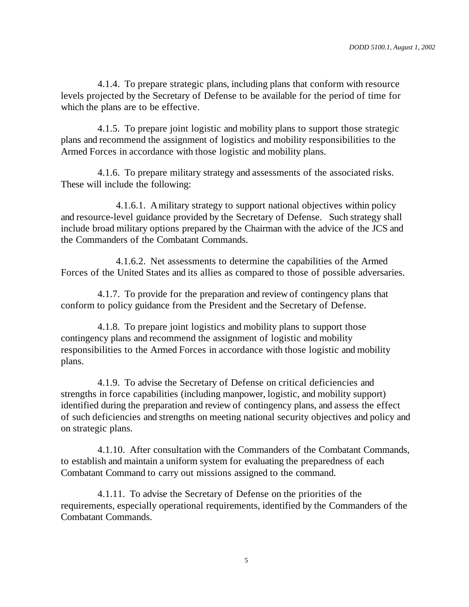4.1.4. To prepare strategic plans, including plans that conform with resource levels projected by the Secretary of Defense to be available for the period of time for which the plans are to be effective.

4.1.5. To prepare joint logistic and mobility plans to support those strategic plans and recommend the assignment of logistics and mobility responsibilities to the Armed Forces in accordance with those logistic and mobility plans.

4.1.6. To prepare military strategy and assessments of the associated risks. These will include the following:

4.1.6.1. A military strategy to support national objectives within policy and resource-level guidance provided by the Secretary of Defense. Such strategy shall include broad military options prepared by the Chairman with the advice of the JCS and the Commanders of the Combatant Commands.

4.1.6.2. Net assessments to determine the capabilities of the Armed Forces of the United States and its allies as compared to those of possible adversaries.

4.1.7. To provide for the preparation and review of contingency plans that conform to policy guidance from the President and the Secretary of Defense.

4.1.8. To prepare joint logistics and mobility plans to support those contingency plans and recommend the assignment of logistic and mobility responsibilities to the Armed Forces in accordance with those logistic and mobility plans.

4.1.9. To advise the Secretary of Defense on critical deficiencies and strengths in force capabilities (including manpower, logistic, and mobility support) identified during the preparation and review of contingency plans, and assess the effect of such deficiencies and strengths on meeting national security objectives and policy and on strategic plans.

4.1.10. After consultation with the Commanders of the Combatant Commands, to establish and maintain a uniform system for evaluating the preparedness of each Combatant Command to carry out missions assigned to the command.

4.1.11. To advise the Secretary of Defense on the priorities of the requirements, especially operational requirements, identified by the Commanders of the Combatant Commands.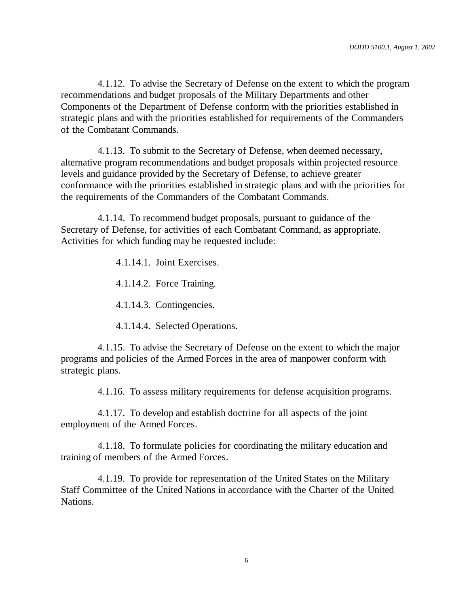4.1.12. To advise the Secretary of Defense on the extent to which the program recommendations and budget proposals of the Military Departments and other Components of the Department of Defense conform with the priorities established in strategic plans and with the priorities established for requirements of the Commanders of the Combatant Commands.

4.1.13. To submit to the Secretary of Defense, when deemed necessary, alternative program recommendations and budget proposals within projected resource levels and guidance provided by the Secretary of Defense, to achieve greater conformance with the priorities established in strategic plans and with the priorities for the requirements of the Commanders of the Combatant Commands.

4.1.14. To recommend budget proposals, pursuant to guidance of the Secretary of Defense, for activities of each Combatant Command, as appropriate. Activities for which funding may be requested include:

4.1.14.1. Joint Exercises.

4.1.14.2. Force Training.

4.1.14.3. Contingencies.

4.1.14.4. Selected Operations.

4.1.15. To advise the Secretary of Defense on the extent to which the major programs and policies of the Armed Forces in the area of manpower conform with strategic plans.

4.1.16. To assess military requirements for defense acquisition programs.

4.1.17. To develop and establish doctrine for all aspects of the joint employment of the Armed Forces.

4.1.18. To formulate policies for coordinating the military education and training of members of the Armed Forces.

4.1.19. To provide for representation of the United States on the Military Staff Committee of the United Nations in accordance with the Charter of the United Nations.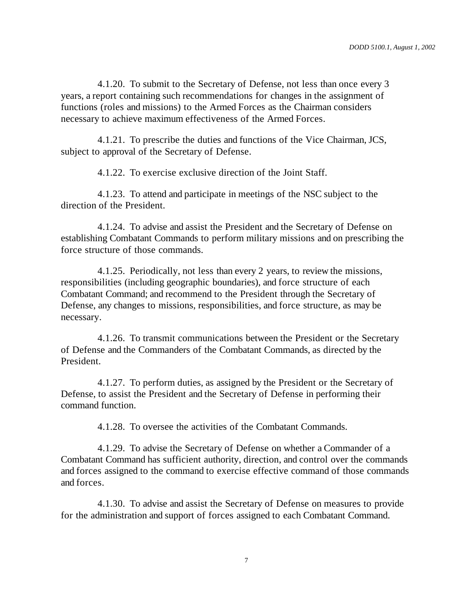4.1.20. To submit to the Secretary of Defense, not less than once every 3 years, a report containing such recommendations for changes in the assignment of functions (roles and missions) to the Armed Forces as the Chairman considers necessary to achieve maximum effectiveness of the Armed Forces.

4.1.21. To prescribe the duties and functions of the Vice Chairman, JCS, subject to approval of the Secretary of Defense.

4.1.22. To exercise exclusive direction of the Joint Staff.

4.1.23. To attend and participate in meetings of the NSC subject to the direction of the President.

4.1.24. To advise and assist the President and the Secretary of Defense on establishing Combatant Commands to perform military missions and on prescribing the force structure of those commands.

4.1.25. Periodically, not less than every 2 years, to review the missions, responsibilities (including geographic boundaries), and force structure of each Combatant Command; and recommend to the President through the Secretary of Defense, any changes to missions, responsibilities, and force structure, as may be necessary.

4.1.26. To transmit communications between the President or the Secretary of Defense and the Commanders of the Combatant Commands, as directed by the President.

4.1.27. To perform duties, as assigned by the President or the Secretary of Defense, to assist the President and the Secretary of Defense in performing their command function.

4.1.28. To oversee the activities of the Combatant Commands.

4.1.29. To advise the Secretary of Defense on whether a Commander of a Combatant Command has sufficient authority, direction, and control over the commands and forces assigned to the command to exercise effective command of those commands and forces.

4.1.30. To advise and assist the Secretary of Defense on measures to provide for the administration and support of forces assigned to each Combatant Command.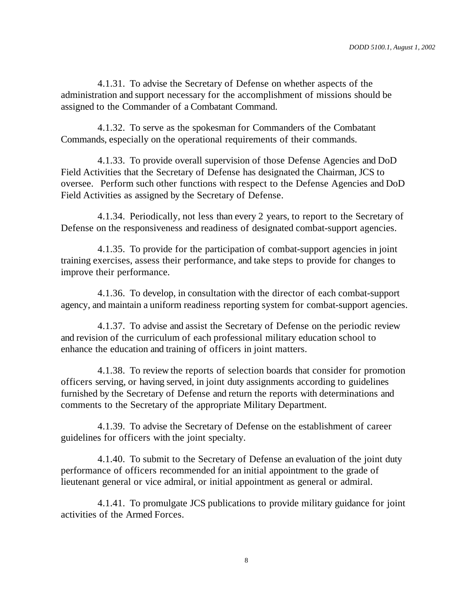4.1.31. To advise the Secretary of Defense on whether aspects of the administration and support necessary for the accomplishment of missions should be assigned to the Commander of a Combatant Command.

4.1.32. To serve as the spokesman for Commanders of the Combatant Commands, especially on the operational requirements of their commands.

4.1.33. To provide overall supervision of those Defense Agencies and DoD Field Activities that the Secretary of Defense has designated the Chairman, JCS to oversee. Perform such other functions with respect to the Defense Agencies and DoD Field Activities as assigned by the Secretary of Defense.

4.1.34. Periodically, not less than every 2 years, to report to the Secretary of Defense on the responsiveness and readiness of designated combat-support agencies.

4.1.35. To provide for the participation of combat-support agencies in joint training exercises, assess their performance, and take steps to provide for changes to improve their performance.

4.1.36. To develop, in consultation with the director of each combat-support agency, and maintain a uniform readiness reporting system for combat-support agencies.

4.1.37. To advise and assist the Secretary of Defense on the periodic review and revision of the curriculum of each professional military education school to enhance the education and training of officers in joint matters.

4.1.38. To review the reports of selection boards that consider for promotion officers serving, or having served, in joint duty assignments according to guidelines furnished by the Secretary of Defense and return the reports with determinations and comments to the Secretary of the appropriate Military Department.

4.1.39. To advise the Secretary of Defense on the establishment of career guidelines for officers with the joint specialty.

4.1.40. To submit to the Secretary of Defense an evaluation of the joint duty performance of officers recommended for an initial appointment to the grade of lieutenant general or vice admiral, or initial appointment as general or admiral.

4.1.41. To promulgate JCS publications to provide military guidance for joint activities of the Armed Forces.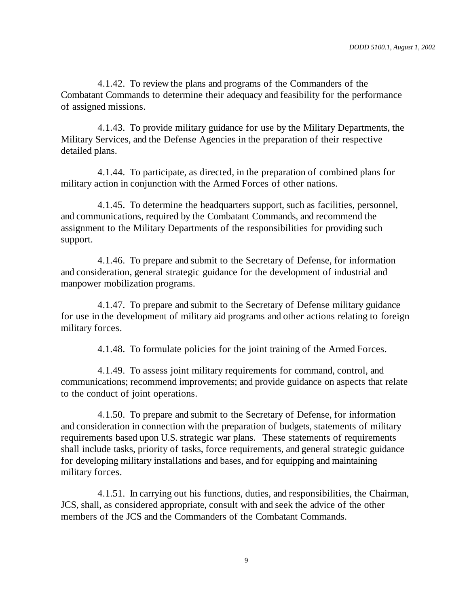4.1.42. To review the plans and programs of the Commanders of the Combatant Commands to determine their adequacy and feasibility for the performance of assigned missions.

4.1.43. To provide military guidance for use by the Military Departments, the Military Services, and the Defense Agencies in the preparation of their respective detailed plans.

4.1.44. To participate, as directed, in the preparation of combined plans for military action in conjunction with the Armed Forces of other nations.

4.1.45. To determine the headquarters support, such as facilities, personnel, and communications, required by the Combatant Commands, and recommend the assignment to the Military Departments of the responsibilities for providing such support.

4.1.46. To prepare and submit to the Secretary of Defense, for information and consideration, general strategic guidance for the development of industrial and manpower mobilization programs.

4.1.47. To prepare and submit to the Secretary of Defense military guidance for use in the development of military aid programs and other actions relating to foreign military forces.

4.1.48. To formulate policies for the joint training of the Armed Forces.

4.1.49. To assess joint military requirements for command, control, and communications; recommend improvements; and provide guidance on aspects that relate to the conduct of joint operations.

4.1.50. To prepare and submit to the Secretary of Defense, for information and consideration in connection with the preparation of budgets, statements of military requirements based upon U.S. strategic war plans. These statements of requirements shall include tasks, priority of tasks, force requirements, and general strategic guidance for developing military installations and bases, and for equipping and maintaining military forces.

4.1.51. In carrying out his functions, duties, and responsibilities, the Chairman, JCS, shall, as considered appropriate, consult with and seek the advice of the other members of the JCS and the Commanders of the Combatant Commands.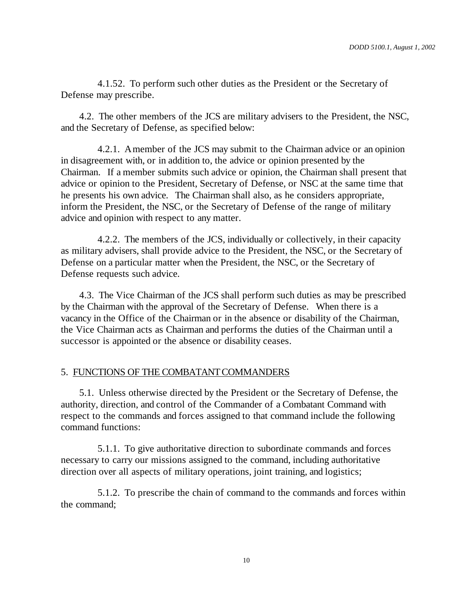4.1.52. To perform such other duties as the President or the Secretary of Defense may prescribe.

4.2. The other members of the JCS are military advisers to the President, the NSC, and the Secretary of Defense, as specified below:

4.2.1. A member of the JCS may submit to the Chairman advice or an opinion in disagreement with, or in addition to, the advice or opinion presented by the Chairman. If a member submits such advice or opinion, the Chairman shall present that advice or opinion to the President, Secretary of Defense, or NSC at the same time that he presents his own advice. The Chairman shall also, as he considers appropriate, inform the President, the NSC, or the Secretary of Defense of the range of military advice and opinion with respect to any matter.

4.2.2. The members of the JCS, individually or collectively, in their capacity as military advisers, shall provide advice to the President, the NSC, or the Secretary of Defense on a particular matter when the President, the NSC, or the Secretary of Defense requests such advice.

4.3. The Vice Chairman of the JCS shall perform such duties as may be prescribed by the Chairman with the approval of the Secretary of Defense. When there is a vacancy in the Office of the Chairman or in the absence or disability of the Chairman, the Vice Chairman acts as Chairman and performs the duties of the Chairman until a successor is appointed or the absence or disability ceases.

## 5. FUNCTIONS OF THE COMBATANT COMMANDERS

5.1. Unless otherwise directed by the President or the Secretary of Defense, the authority, direction, and control of the Commander of a Combatant Command with respect to the commands and forces assigned to that command include the following command functions:

5.1.1. To give authoritative direction to subordinate commands and forces necessary to carry our missions assigned to the command, including authoritative direction over all aspects of military operations, joint training, and logistics;

5.1.2. To prescribe the chain of command to the commands and forces within the command;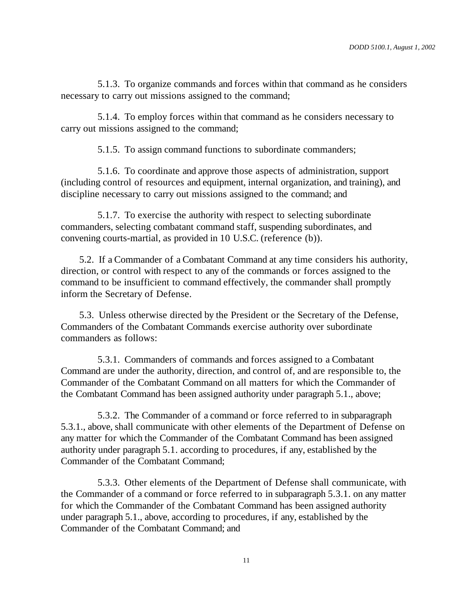5.1.3. To organize commands and forces within that command as he considers necessary to carry out missions assigned to the command;

5.1.4. To employ forces within that command as he considers necessary to carry out missions assigned to the command;

5.1.5. To assign command functions to subordinate commanders;

5.1.6. To coordinate and approve those aspects of administration, support (including control of resources and equipment, internal organization, and training), and discipline necessary to carry out missions assigned to the command; and

5.1.7. To exercise the authority with respect to selecting subordinate commanders, selecting combatant command staff, suspending subordinates, and convening courts-martial, as provided in 10 U.S.C. (reference (b)).

5.2. If a Commander of a Combatant Command at any time considers his authority, direction, or control with respect to any of the commands or forces assigned to the command to be insufficient to command effectively, the commander shall promptly inform the Secretary of Defense.

5.3. Unless otherwise directed by the President or the Secretary of the Defense, Commanders of the Combatant Commands exercise authority over subordinate commanders as follows:

5.3.1. Commanders of commands and forces assigned to a Combatant Command are under the authority, direction, and control of, and are responsible to, the Commander of the Combatant Command on all matters for which the Commander of the Combatant Command has been assigned authority under paragraph 5.1., above;

5.3.2. The Commander of a command or force referred to in subparagraph 5.3.1., above, shall communicate with other elements of the Department of Defense on any matter for which the Commander of the Combatant Command has been assigned authority under paragraph 5.1. according to procedures, if any, established by the Commander of the Combatant Command;

5.3.3. Other elements of the Department of Defense shall communicate, with the Commander of a command or force referred to in subparagraph 5.3.1. on any matter for which the Commander of the Combatant Command has been assigned authority under paragraph 5.1., above, according to procedures, if any, established by the Commander of the Combatant Command; and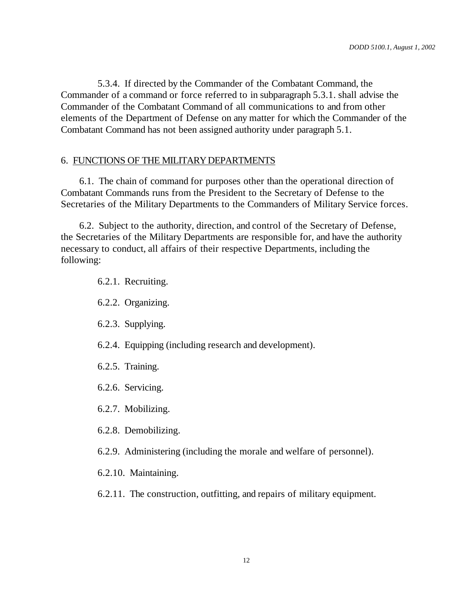5.3.4. If directed by the Commander of the Combatant Command, the Commander of a command or force referred to in subparagraph 5.3.1. shall advise the Commander of the Combatant Command of all communications to and from other elements of the Department of Defense on any matter for which the Commander of the Combatant Command has not been assigned authority under paragraph 5.1.

## 6. FUNCTIONS OF THE MILITARY DEPARTMENTS

6.1. The chain of command for purposes other than the operational direction of Combatant Commands runs from the President to the Secretary of Defense to the Secretaries of the Military Departments to the Commanders of Military Service forces.

6.2. Subject to the authority, direction, and control of the Secretary of Defense, the Secretaries of the Military Departments are responsible for, and have the authority necessary to conduct, all affairs of their respective Departments, including the following:

- 6.2.1. Recruiting.
- 6.2.2. Organizing.
- 6.2.3. Supplying.
- 6.2.4. Equipping (including research and development).
- 6.2.5. Training.
- 6.2.6. Servicing.
- 6.2.7. Mobilizing.
- 6.2.8. Demobilizing.
- 6.2.9. Administering (including the morale and welfare of personnel).
- 6.2.10. Maintaining.
- 6.2.11. The construction, outfitting, and repairs of military equipment.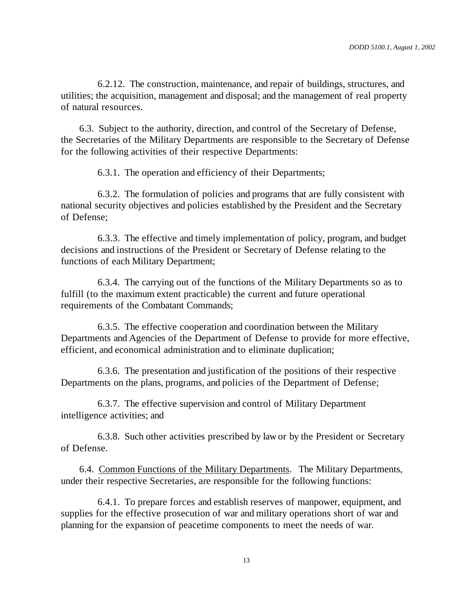6.2.12. The construction, maintenance, and repair of buildings, structures, and utilities; the acquisition, management and disposal; and the management of real property of natural resources.

6.3. Subject to the authority, direction, and control of the Secretary of Defense, the Secretaries of the Military Departments are responsible to the Secretary of Defense for the following activities of their respective Departments:

6.3.1. The operation and efficiency of their Departments;

6.3.2. The formulation of policies and programs that are fully consistent with national security objectives and policies established by the President and the Secretary of Defense;

6.3.3. The effective and timely implementation of policy, program, and budget decisions and instructions of the President or Secretary of Defense relating to the functions of each Military Department;

6.3.4. The carrying out of the functions of the Military Departments so as to fulfill (to the maximum extent practicable) the current and future operational requirements of the Combatant Commands;

6.3.5. The effective cooperation and coordination between the Military Departments and Agencies of the Department of Defense to provide for more effective, efficient, and economical administration and to eliminate duplication;

6.3.6. The presentation and justification of the positions of their respective Departments on the plans, programs, and policies of the Department of Defense;

6.3.7. The effective supervision and control of Military Department intelligence activities; and

6.3.8. Such other activities prescribed by law or by the President or Secretary of Defense.

6.4. Common Functions of the Military Departments. The Military Departments, under their respective Secretaries, are responsible for the following functions:

6.4.1. To prepare forces and establish reserves of manpower, equipment, and supplies for the effective prosecution of war and military operations short of war and planning for the expansion of peacetime components to meet the needs of war.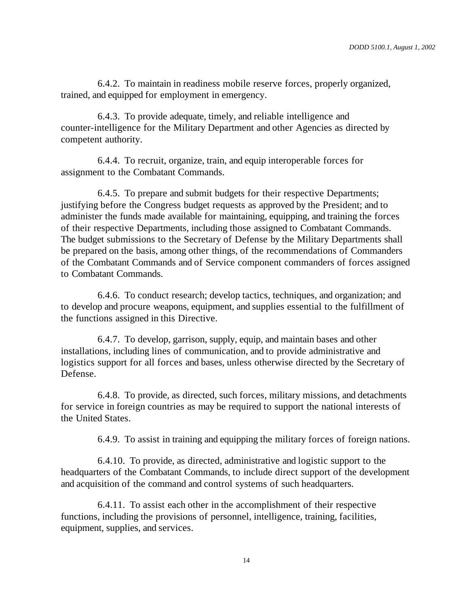6.4.2. To maintain in readiness mobile reserve forces, properly organized, trained, and equipped for employment in emergency.

6.4.3. To provide adequate, timely, and reliable intelligence and counter-intelligence for the Military Department and other Agencies as directed by competent authority.

6.4.4. To recruit, organize, train, and equip interoperable forces for assignment to the Combatant Commands.

6.4.5. To prepare and submit budgets for their respective Departments; justifying before the Congress budget requests as approved by the President; and to administer the funds made available for maintaining, equipping, and training the forces of their respective Departments, including those assigned to Combatant Commands. The budget submissions to the Secretary of Defense by the Military Departments shall be prepared on the basis, among other things, of the recommendations of Commanders of the Combatant Commands and of Service component commanders of forces assigned to Combatant Commands.

6.4.6. To conduct research; develop tactics, techniques, and organization; and to develop and procure weapons, equipment, and supplies essential to the fulfillment of the functions assigned in this Directive.

6.4.7. To develop, garrison, supply, equip, and maintain bases and other installations, including lines of communication, and to provide administrative and logistics support for all forces and bases, unless otherwise directed by the Secretary of Defense.

6.4.8. To provide, as directed, such forces, military missions, and detachments for service in foreign countries as may be required to support the national interests of the United States.

6.4.9. To assist in training and equipping the military forces of foreign nations.

6.4.10. To provide, as directed, administrative and logistic support to the headquarters of the Combatant Commands, to include direct support of the development and acquisition of the command and control systems of such headquarters.

6.4.11. To assist each other in the accomplishment of their respective functions, including the provisions of personnel, intelligence, training, facilities, equipment, supplies, and services.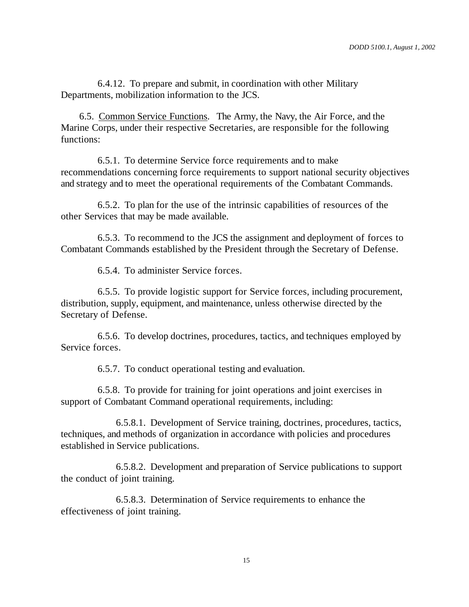6.4.12. To prepare and submit, in coordination with other Military Departments, mobilization information to the JCS.

6.5. Common Service Functions. The Army, the Navy, the Air Force, and the Marine Corps, under their respective Secretaries, are responsible for the following functions:

6.5.1. To determine Service force requirements and to make recommendations concerning force requirements to support national security objectives and strategy and to meet the operational requirements of the Combatant Commands.

6.5.2. To plan for the use of the intrinsic capabilities of resources of the other Services that may be made available.

6.5.3. To recommend to the JCS the assignment and deployment of forces to Combatant Commands established by the President through the Secretary of Defense.

6.5.4. To administer Service forces.

6.5.5. To provide logistic support for Service forces, including procurement, distribution, supply, equipment, and maintenance, unless otherwise directed by the Secretary of Defense.

6.5.6. To develop doctrines, procedures, tactics, and techniques employed by Service forces.

6.5.7. To conduct operational testing and evaluation.

6.5.8. To provide for training for joint operations and joint exercises in support of Combatant Command operational requirements, including:

6.5.8.1. Development of Service training, doctrines, procedures, tactics, techniques, and methods of organization in accordance with policies and procedures established in Service publications.

6.5.8.2. Development and preparation of Service publications to support the conduct of joint training.

6.5.8.3. Determination of Service requirements to enhance the effectiveness of joint training.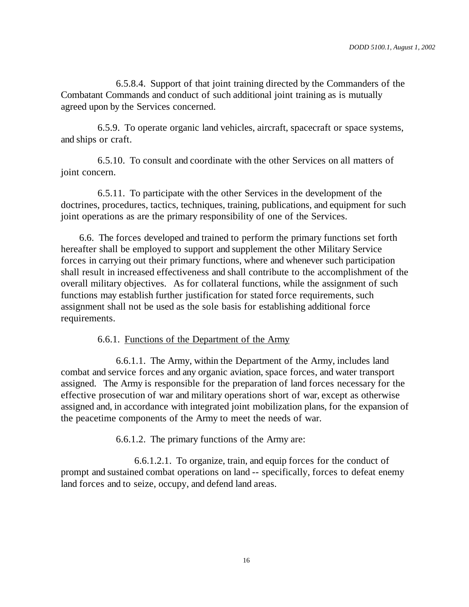6.5.8.4. Support of that joint training directed by the Commanders of the Combatant Commands and conduct of such additional joint training as is mutually agreed upon by the Services concerned.

6.5.9. To operate organic land vehicles, aircraft, spacecraft or space systems, and ships or craft.

6.5.10. To consult and coordinate with the other Services on all matters of joint concern.

6.5.11. To participate with the other Services in the development of the doctrines, procedures, tactics, techniques, training, publications, and equipment for such joint operations as are the primary responsibility of one of the Services.

6.6. The forces developed and trained to perform the primary functions set forth hereafter shall be employed to support and supplement the other Military Service forces in carrying out their primary functions, where and whenever such participation shall result in increased effectiveness and shall contribute to the accomplishment of the overall military objectives. As for collateral functions, while the assignment of such functions may establish further justification for stated force requirements, such assignment shall not be used as the sole basis for establishing additional force requirements.

6.6.1. Functions of the Department of the Army

6.6.1.1. The Army, within the Department of the Army, includes land combat and service forces and any organic aviation, space forces, and water transport assigned. The Army is responsible for the preparation of land forces necessary for the effective prosecution of war and military operations short of war, except as otherwise assigned and, in accordance with integrated joint mobilization plans, for the expansion of the peacetime components of the Army to meet the needs of war.

6.6.1.2. The primary functions of the Army are:

6.6.1.2.1. To organize, train, and equip forces for the conduct of prompt and sustained combat operations on land -- specifically, forces to defeat enemy land forces and to seize, occupy, and defend land areas.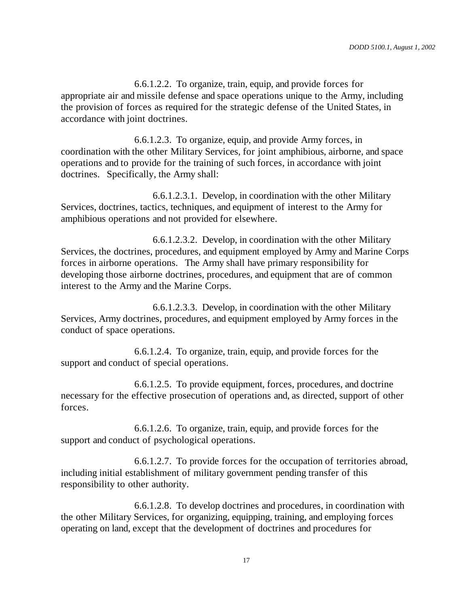6.6.1.2.2. To organize, train, equip, and provide forces for appropriate air and missile defense and space operations unique to the Army, including the provision of forces as required for the strategic defense of the United States, in accordance with joint doctrines.

6.6.1.2.3. To organize, equip, and provide Army forces, in coordination with the other Military Services, for joint amphibious, airborne, and space operations and to provide for the training of such forces, in accordance with joint doctrines. Specifically, the Army shall:

6.6.1.2.3.1. Develop, in coordination with the other Military Services, doctrines, tactics, techniques, and equipment of interest to the Army for amphibious operations and not provided for elsewhere.

6.6.1.2.3.2. Develop, in coordination with the other Military Services, the doctrines, procedures, and equipment employed by Army and Marine Corps forces in airborne operations. The Army shall have primary responsibility for developing those airborne doctrines, procedures, and equipment that are of common interest to the Army and the Marine Corps.

6.6.1.2.3.3. Develop, in coordination with the other Military Services, Army doctrines, procedures, and equipment employed by Army forces in the conduct of space operations.

6.6.1.2.4. To organize, train, equip, and provide forces for the support and conduct of special operations.

6.6.1.2.5. To provide equipment, forces, procedures, and doctrine necessary for the effective prosecution of operations and, as directed, support of other forces.

6.6.1.2.6. To organize, train, equip, and provide forces for the support and conduct of psychological operations.

6.6.1.2.7. To provide forces for the occupation of territories abroad, including initial establishment of military government pending transfer of this responsibility to other authority.

6.6.1.2.8. To develop doctrines and procedures, in coordination with the other Military Services, for organizing, equipping, training, and employing forces operating on land, except that the development of doctrines and procedures for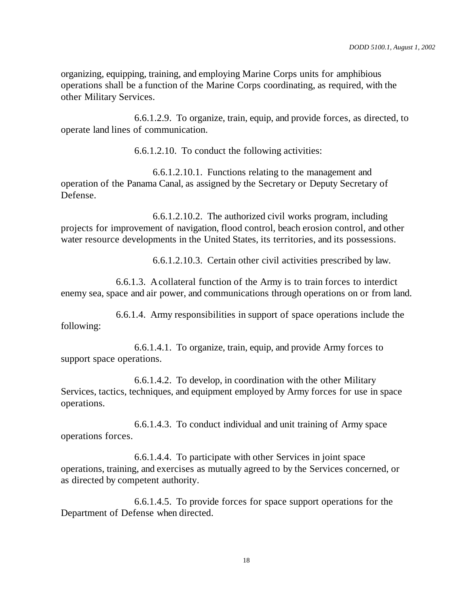organizing, equipping, training, and employing Marine Corps units for amphibious operations shall be a function of the Marine Corps coordinating, as required, with the other Military Services.

6.6.1.2.9. To organize, train, equip, and provide forces, as directed, to operate land lines of communication.

6.6.1.2.10. To conduct the following activities:

6.6.1.2.10.1. Functions relating to the management and operation of the Panama Canal, as assigned by the Secretary or Deputy Secretary of Defense.

6.6.1.2.10.2. The authorized civil works program, including projects for improvement of navigation, flood control, beach erosion control, and other water resource developments in the United States, its territories, and its possessions.

6.6.1.2.10.3. Certain other civil activities prescribed by law.

6.6.1.3. A collateral function of the Army is to train forces to interdict enemy sea, space and air power, and communications through operations on or from land.

6.6.1.4. Army responsibilities in support of space operations include the following:

6.6.1.4.1. To organize, train, equip, and provide Army forces to support space operations.

6.6.1.4.2. To develop, in coordination with the other Military Services, tactics, techniques, and equipment employed by Army forces for use in space operations.

6.6.1.4.3. To conduct individual and unit training of Army space operations forces.

6.6.1.4.4. To participate with other Services in joint space operations, training, and exercises as mutually agreed to by the Services concerned, or as directed by competent authority.

6.6.1.4.5. To provide forces for space support operations for the Department of Defense when directed.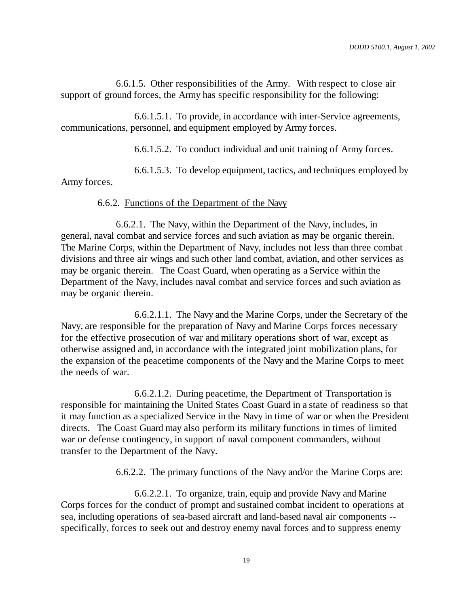6.6.1.5. Other responsibilities of the Army. With respect to close air support of ground forces, the Army has specific responsibility for the following:

6.6.1.5.1. To provide, in accordance with inter-Service agreements, communications, personnel, and equipment employed by Army forces.

6.6.1.5.2. To conduct individual and unit training of Army forces.

6.6.1.5.3. To develop equipment, tactics, and techniques employed by Army forces.

## 6.6.2. Functions of the Department of the Navy

6.6.2.1. The Navy, within the Department of the Navy, includes, in general, naval combat and service forces and such aviation as may be organic therein. The Marine Corps, within the Department of Navy, includes not less than three combat divisions and three air wings and such other land combat, aviation, and other services as may be organic therein. The Coast Guard, when operating as a Service within the Department of the Navy, includes naval combat and service forces and such aviation as may be organic therein.

6.6.2.1.1. The Navy and the Marine Corps, under the Secretary of the Navy, are responsible for the preparation of Navy and Marine Corps forces necessary for the effective prosecution of war and military operations short of war, except as otherwise assigned and, in accordance with the integrated joint mobilization plans, for the expansion of the peacetime components of the Navy and the Marine Corps to meet the needs of war.

6.6.2.1.2. During peacetime, the Department of Transportation is responsible for maintaining the United States Coast Guard in a state of readiness so that it may function as a specialized Service in the Navy in time of war or when the President directs. The Coast Guard may also perform its military functions in times of limited war or defense contingency, in support of naval component commanders, without transfer to the Department of the Navy.

6.6.2.2. The primary functions of the Navy and/or the Marine Corps are:

6.6.2.2.1. To organize, train, equip and provide Navy and Marine Corps forces for the conduct of prompt and sustained combat incident to operations at sea, including operations of sea-based aircraft and land-based naval air components - specifically, forces to seek out and destroy enemy naval forces and to suppress enemy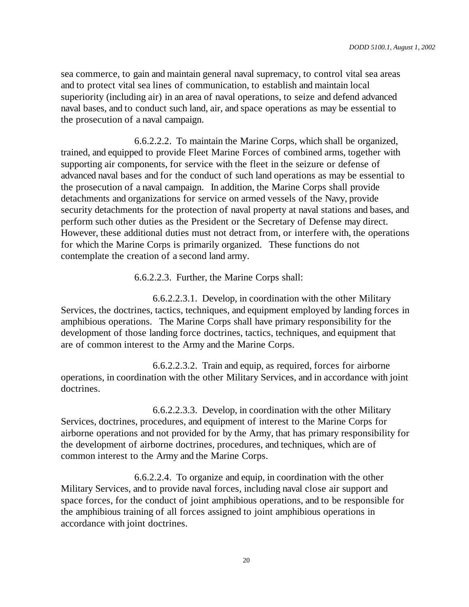sea commerce, to gain and maintain general naval supremacy, to control vital sea areas and to protect vital sea lines of communication, to establish and maintain local superiority (including air) in an area of naval operations, to seize and defend advanced naval bases, and to conduct such land, air, and space operations as may be essential to the prosecution of a naval campaign.

6.6.2.2.2. To maintain the Marine Corps, which shall be organized, trained, and equipped to provide Fleet Marine Forces of combined arms, together with supporting air components, for service with the fleet in the seizure or defense of advanced naval bases and for the conduct of such land operations as may be essential to the prosecution of a naval campaign. In addition, the Marine Corps shall provide detachments and organizations for service on armed vessels of the Navy, provide security detachments for the protection of naval property at naval stations and bases, and perform such other duties as the President or the Secretary of Defense may direct. However, these additional duties must not detract from, or interfere with, the operations for which the Marine Corps is primarily organized. These functions do not contemplate the creation of a second land army.

6.6.2.2.3. Further, the Marine Corps shall:

6.6.2.2.3.1. Develop, in coordination with the other Military Services, the doctrines, tactics, techniques, and equipment employed by landing forces in amphibious operations. The Marine Corps shall have primary responsibility for the development of those landing force doctrines, tactics, techniques, and equipment that are of common interest to the Army and the Marine Corps.

6.6.2.2.3.2. Train and equip, as required, forces for airborne operations, in coordination with the other Military Services, and in accordance with joint doctrines.

6.6.2.2.3.3. Develop, in coordination with the other Military Services, doctrines, procedures, and equipment of interest to the Marine Corps for airborne operations and not provided for by the Army, that has primary responsibility for the development of airborne doctrines, procedures, and techniques, which are of common interest to the Army and the Marine Corps.

6.6.2.2.4. To organize and equip, in coordination with the other Military Services, and to provide naval forces, including naval close air support and space forces, for the conduct of joint amphibious operations, and to be responsible for the amphibious training of all forces assigned to joint amphibious operations in accordance with joint doctrines.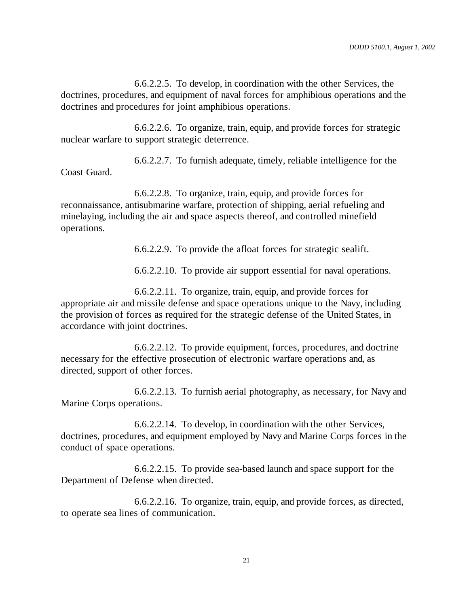6.6.2.2.5. To develop, in coordination with the other Services, the doctrines, procedures, and equipment of naval forces for amphibious operations and the doctrines and procedures for joint amphibious operations.

6.6.2.2.6. To organize, train, equip, and provide forces for strategic nuclear warfare to support strategic deterrence.

6.6.2.2.7. To furnish adequate, timely, reliable intelligence for the Coast Guard.

6.6.2.2.8. To organize, train, equip, and provide forces for reconnaissance, antisubmarine warfare, protection of shipping, aerial refueling and minelaying, including the air and space aspects thereof, and controlled minefield operations.

6.6.2.2.9. To provide the afloat forces for strategic sealift.

6.6.2.2.10. To provide air support essential for naval operations.

6.6.2.2.11. To organize, train, equip, and provide forces for appropriate air and missile defense and space operations unique to the Navy, including the provision of forces as required for the strategic defense of the United States, in accordance with joint doctrines.

6.6.2.2.12. To provide equipment, forces, procedures, and doctrine necessary for the effective prosecution of electronic warfare operations and, as directed, support of other forces.

6.6.2.2.13. To furnish aerial photography, as necessary, for Navy and Marine Corps operations.

6.6.2.2.14. To develop, in coordination with the other Services, doctrines, procedures, and equipment employed by Navy and Marine Corps forces in the conduct of space operations.

6.6.2.2.15. To provide sea-based launch and space support for the Department of Defense when directed.

6.6.2.2.16. To organize, train, equip, and provide forces, as directed, to operate sea lines of communication.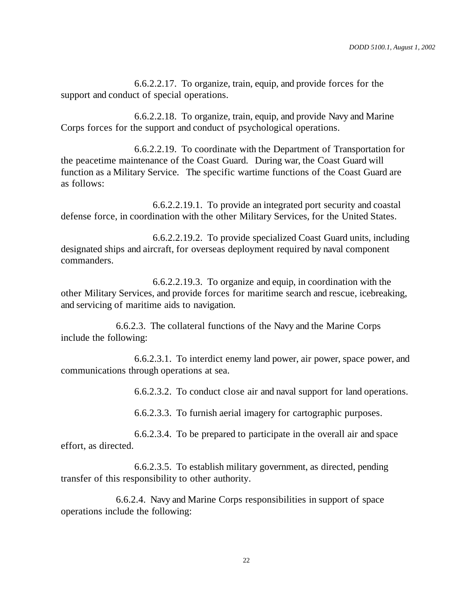6.6.2.2.17. To organize, train, equip, and provide forces for the support and conduct of special operations.

6.6.2.2.18. To organize, train, equip, and provide Navy and Marine Corps forces for the support and conduct of psychological operations.

6.6.2.2.19. To coordinate with the Department of Transportation for the peacetime maintenance of the Coast Guard. During war, the Coast Guard will function as a Military Service. The specific wartime functions of the Coast Guard are as follows:

6.6.2.2.19.1. To provide an integrated port security and coastal defense force, in coordination with the other Military Services, for the United States.

6.6.2.2.19.2. To provide specialized Coast Guard units, including designated ships and aircraft, for overseas deployment required by naval component commanders.

6.6.2.2.19.3. To organize and equip, in coordination with the other Military Services, and provide forces for maritime search and rescue, icebreaking, and servicing of maritime aids to navigation.

6.6.2.3. The collateral functions of the Navy and the Marine Corps include the following:

6.6.2.3.1. To interdict enemy land power, air power, space power, and communications through operations at sea.

6.6.2.3.2. To conduct close air and naval support for land operations.

6.6.2.3.3. To furnish aerial imagery for cartographic purposes.

6.6.2.3.4. To be prepared to participate in the overall air and space effort, as directed.

6.6.2.3.5. To establish military government, as directed, pending transfer of this responsibility to other authority.

6.6.2.4. Navy and Marine Corps responsibilities in support of space operations include the following: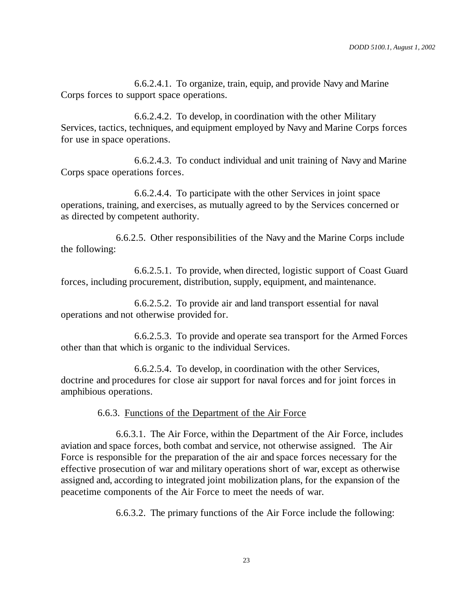6.6.2.4.1. To organize, train, equip, and provide Navy and Marine Corps forces to support space operations.

6.6.2.4.2. To develop, in coordination with the other Military Services, tactics, techniques, and equipment employed by Navy and Marine Corps forces for use in space operations.

6.6.2.4.3. To conduct individual and unit training of Navy and Marine Corps space operations forces.

6.6.2.4.4. To participate with the other Services in joint space operations, training, and exercises, as mutually agreed to by the Services concerned or as directed by competent authority.

6.6.2.5. Other responsibilities of the Navy and the Marine Corps include the following:

6.6.2.5.1. To provide, when directed, logistic support of Coast Guard forces, including procurement, distribution, supply, equipment, and maintenance.

6.6.2.5.2. To provide air and land transport essential for naval operations and not otherwise provided for.

6.6.2.5.3. To provide and operate sea transport for the Armed Forces other than that which is organic to the individual Services.

6.6.2.5.4. To develop, in coordination with the other Services, doctrine and procedures for close air support for naval forces and for joint forces in amphibious operations.

## 6.6.3. Functions of the Department of the Air Force

6.6.3.1. The Air Force, within the Department of the Air Force, includes aviation and space forces, both combat and service, not otherwise assigned. The Air Force is responsible for the preparation of the air and space forces necessary for the effective prosecution of war and military operations short of war, except as otherwise assigned and, according to integrated joint mobilization plans, for the expansion of the peacetime components of the Air Force to meet the needs of war.

6.6.3.2. The primary functions of the Air Force include the following: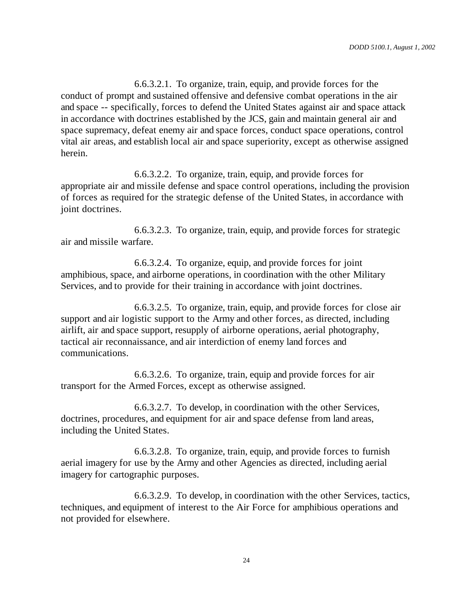6.6.3.2.1. To organize, train, equip, and provide forces for the conduct of prompt and sustained offensive and defensive combat operations in the air and space -- specifically, forces to defend the United States against air and space attack in accordance with doctrines established by the JCS, gain and maintain general air and space supremacy, defeat enemy air and space forces, conduct space operations, control vital air areas, and establish local air and space superiority, except as otherwise assigned herein.

6.6.3.2.2. To organize, train, equip, and provide forces for appropriate air and missile defense and space control operations, including the provision of forces as required for the strategic defense of the United States, in accordance with joint doctrines.

6.6.3.2.3. To organize, train, equip, and provide forces for strategic air and missile warfare.

6.6.3.2.4. To organize, equip, and provide forces for joint amphibious, space, and airborne operations, in coordination with the other Military Services, and to provide for their training in accordance with joint doctrines.

6.6.3.2.5. To organize, train, equip, and provide forces for close air support and air logistic support to the Army and other forces, as directed, including airlift, air and space support, resupply of airborne operations, aerial photography, tactical air reconnaissance, and air interdiction of enemy land forces and communications.

6.6.3.2.6. To organize, train, equip and provide forces for air transport for the Armed Forces, except as otherwise assigned.

6.6.3.2.7. To develop, in coordination with the other Services, doctrines, procedures, and equipment for air and space defense from land areas, including the United States.

6.6.3.2.8. To organize, train, equip, and provide forces to furnish aerial imagery for use by the Army and other Agencies as directed, including aerial imagery for cartographic purposes.

6.6.3.2.9. To develop, in coordination with the other Services, tactics, techniques, and equipment of interest to the Air Force for amphibious operations and not provided for elsewhere.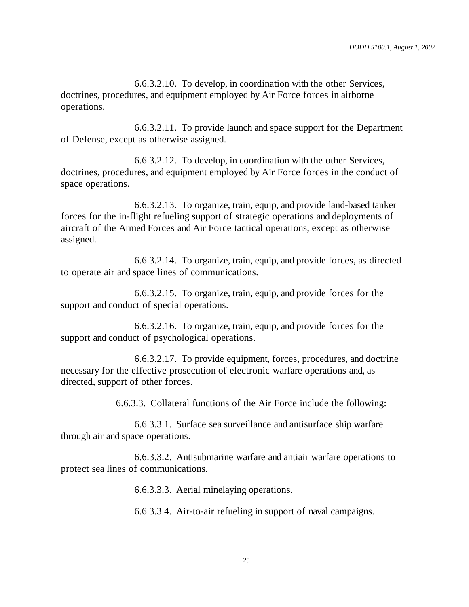6.6.3.2.10. To develop, in coordination with the other Services, doctrines, procedures, and equipment employed by Air Force forces in airborne operations.

6.6.3.2.11. To provide launch and space support for the Department of Defense, except as otherwise assigned.

6.6.3.2.12. To develop, in coordination with the other Services, doctrines, procedures, and equipment employed by Air Force forces in the conduct of space operations.

6.6.3.2.13. To organize, train, equip, and provide land-based tanker forces for the in-flight refueling support of strategic operations and deployments of aircraft of the Armed Forces and Air Force tactical operations, except as otherwise assigned.

6.6.3.2.14. To organize, train, equip, and provide forces, as directed to operate air and space lines of communications.

6.6.3.2.15. To organize, train, equip, and provide forces for the support and conduct of special operations.

6.6.3.2.16. To organize, train, equip, and provide forces for the support and conduct of psychological operations.

6.6.3.2.17. To provide equipment, forces, procedures, and doctrine necessary for the effective prosecution of electronic warfare operations and, as directed, support of other forces.

6.6.3.3. Collateral functions of the Air Force include the following:

6.6.3.3.1. Surface sea surveillance and antisurface ship warfare through air and space operations.

6.6.3.3.2. Antisubmarine warfare and antiair warfare operations to protect sea lines of communications.

6.6.3.3.3. Aerial minelaying operations.

6.6.3.3.4. Air-to-air refueling in support of naval campaigns.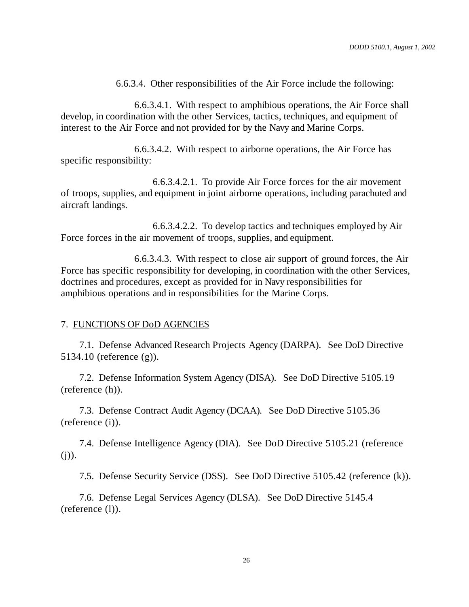6.6.3.4. Other responsibilities of the Air Force include the following:

6.6.3.4.1. With respect to amphibious operations, the Air Force shall develop, in coordination with the other Services, tactics, techniques, and equipment of interest to the Air Force and not provided for by the Navy and Marine Corps.

6.6.3.4.2. With respect to airborne operations, the Air Force has specific responsibility:

6.6.3.4.2.1. To provide Air Force forces for the air movement of troops, supplies, and equipment in joint airborne operations, including parachuted and aircraft landings.

6.6.3.4.2.2. To develop tactics and techniques employed by Air Force forces in the air movement of troops, supplies, and equipment.

6.6.3.4.3. With respect to close air support of ground forces, the Air Force has specific responsibility for developing, in coordination with the other Services, doctrines and procedures, except as provided for in Navy responsibilities for amphibious operations and in responsibilities for the Marine Corps.

## 7. FUNCTIONS OF DoD AGENCIES

7.1. Defense Advanced Research Projects Agency (DARPA). See DoD Directive 5134.10 (reference (g)).

7.2. Defense Information System Agency (DISA). See DoD Directive 5105.19 (reference (h)).

7.3. Defense Contract Audit Agency (DCAA). See DoD Directive 5105.36 (reference (i)).

7.4. Defense Intelligence Agency (DIA). See DoD Directive 5105.21 (reference  $(j)$ ).

7.5. Defense Security Service (DSS). See DoD Directive 5105.42 (reference (k)).

7.6. Defense Legal Services Agency (DLSA). See DoD Directive 5145.4 (reference (l)).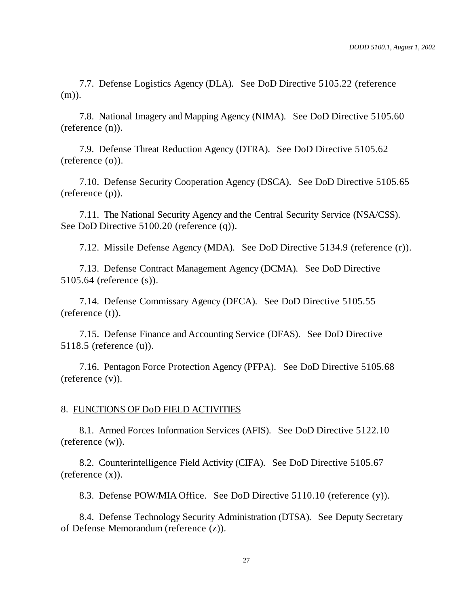7.7. Defense Logistics Agency (DLA). See DoD Directive 5105.22 (reference (m)).

7.8. National Imagery and Mapping Agency (NIMA). See DoD Directive 5105.60 (reference (n)).

7.9. Defense Threat Reduction Agency (DTRA). See DoD Directive 5105.62 (reference (o)).

7.10. Defense Security Cooperation Agency (DSCA). See DoD Directive 5105.65 (reference (p)).

7.11. The National Security Agency and the Central Security Service (NSA/CSS). See DoD Directive 5100.20 (reference (q)).

7.12. Missile Defense Agency (MDA). See DoD Directive 5134.9 (reference (r)).

7.13. Defense Contract Management Agency (DCMA). See DoD Directive 5105.64 (reference (s)).

7.14. Defense Commissary Agency (DECA). See DoD Directive 5105.55 (reference (t)).

7.15. Defense Finance and Accounting Service (DFAS). See DoD Directive 5118.5 (reference (u)).

7.16. Pentagon Force Protection Agency (PFPA). See DoD Directive 5105.68 (reference (v)).

#### 8. FUNCTIONS OF DoD FIELD ACTIVITIES

8.1. Armed Forces Information Services (AFIS). See DoD Directive 5122.10 (reference (w)).

8.2. Counterintelligence Field Activity (CIFA). See DoD Directive 5105.67 (reference (x)).

8.3. Defense POW/MIA Office. See DoD Directive 5110.10 (reference (y)).

8.4. Defense Technology Security Administration (DTSA). See Deputy Secretary of Defense Memorandum (reference (z)).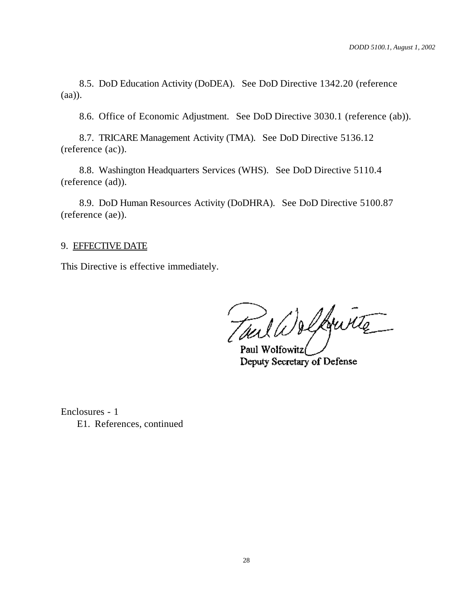8.5. DoD Education Activity (DoDEA). See DoD Directive 1342.20 (reference (aa)).

8.6. Office of Economic Adjustment. See DoD Directive 3030.1 (reference (ab)).

8.7. TRICARE Management Activity (TMA). See DoD Directive 5136.12 (reference (ac)).

8.8. Washington Headquarters Services (WHS). See DoD Directive 5110.4 (reference (ad)).

8.9. DoD Human Resources Activity (DoDHRA). See DoD Directive 5100.87 (reference (ae)).

#### 9. EFFECTIVE DATE

This Directive is effective immediately.

Toul Welkwite

Paul Wolfowitz/ Deputy Secretary of Defense

Enclosures - 1 E1. References, continued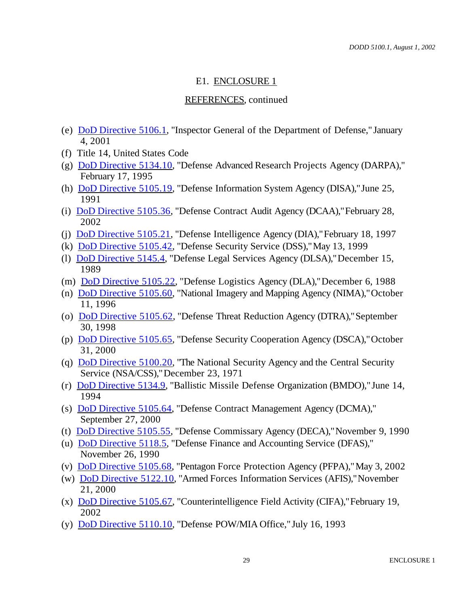## E1. ENCLOSURE 1

#### REFERENCES, continued

- (e) DoD Directive 5106.1, "Inspector General of the Department of Defense," January 4, 2001
- (f) Title 14, United States Code
- (g) DoD Directive 5134.10, "Defense Advanced Research Projects Agency (DARPA)," February 17, 1995
- (h) DoD Directive 5105.19, "Defense Information System Agency (DISA)," June 25, 1991
- (i) DoD Directive 5105.36, "Defense Contract Audit Agency (DCAA)," February 28, 2002
- (j) DoD Directive 5105.21, "Defense Intelligence Agency (DIA)," February 18, 1997
- (k) DoD Directive 5105.42, "Defense Security Service (DSS)," May 13, 1999
- (l) DoD Directive 5145.4, "Defense Legal Services Agency (DLSA)," December 15, 1989
- (m) DoD Directive 5105.22, "Defense Logistics Agency (DLA)," December 6, 1988
- (n) DoD Directive 5105.60, "National Imagery and Mapping Agency (NIMA)," October 11, 1996
- (o) DoD Directive 5105.62, "Defense Threat Reduction Agency (DTRA)," September 30, 1998
- (p) DoD Directive 5105.65, "Defense Security Cooperation Agency (DSCA)," October 31, 2000
- (q) DoD Directive 5100.20, "The National Security Agency and the Central Security Service (NSA/CSS)," December 23, 1971
- (r) DoD Directive 5134.9, "Ballistic Missile Defense Organization (BMDO)," June 14, 1994
- (s) DoD Directive 5105.64, "Defense Contract Management Agency (DCMA)," September 27, 2000
- (t) DoD Directive 5105.55, "Defense Commissary Agency (DECA)," November 9, 1990
- (u) DoD Directive 5118.5, "Defense Finance and Accounting Service (DFAS)," November 26, 1990
- (v) DoD Directive 5105.68, "Pentagon Force Protection Agency (PFPA)," May 3, 2002
- (w) DoD Directive 5122.10, "Armed Forces Information Services (AFIS)," November 21, 2000
- (x) DoD Directive 5105.67, "Counterintelligence Field Activity (CIFA)," February 19, 2002
- (y) DoD Directive 5110.10, "Defense POW/MIA Office," July 16, 1993